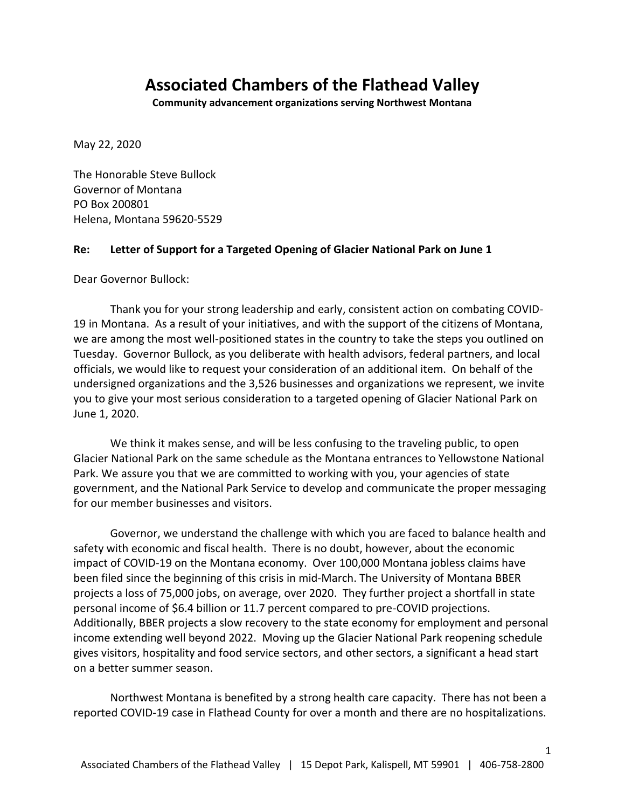# **Associated Chambers of the Flathead Valley**

**Community advancement organizations serving Northwest Montana**

May 22, 2020

The Honorable Steve Bullock Governor of Montana PO Box 200801 Helena, Montana 59620-5529

### **Re: Letter of Support for a Targeted Opening of Glacier National Park on June 1**

Dear Governor Bullock:

Thank you for your strong leadership and early, consistent action on combating COVID-19 in Montana. As a result of your initiatives, and with the support of the citizens of Montana, we are among the most well-positioned states in the country to take the steps you outlined on Tuesday. Governor Bullock, as you deliberate with health advisors, federal partners, and local officials, we would like to request your consideration of an additional item. On behalf of the undersigned organizations and the 3,526 businesses and organizations we represent, we invite you to give your most serious consideration to a targeted opening of Glacier National Park on June 1, 2020.

We think it makes sense, and will be less confusing to the traveling public, to open Glacier National Park on the same schedule as the Montana entrances to Yellowstone National Park. We assure you that we are committed to working with you, your agencies of state government, and the National Park Service to develop and communicate the proper messaging for our member businesses and visitors.

Governor, we understand the challenge with which you are faced to balance health and safety with economic and fiscal health. There is no doubt, however, about the economic impact of COVID-19 on the Montana economy. Over 100,000 Montana jobless claims have been filed since the beginning of this crisis in mid-March. The University of Montana BBER projects a loss of 75,000 jobs, on average, over 2020. They further project a shortfall in state personal income of \$6.4 billion or 11.7 percent compared to pre-COVID projections. Additionally, BBER projects a slow recovery to the state economy for employment and personal income extending well beyond 2022. Moving up the Glacier National Park reopening schedule gives visitors, hospitality and food service sectors, and other sectors, a significant a head start on a better summer season.

Northwest Montana is benefited by a strong health care capacity. There has not been a reported COVID-19 case in Flathead County for over a month and there are no hospitalizations.